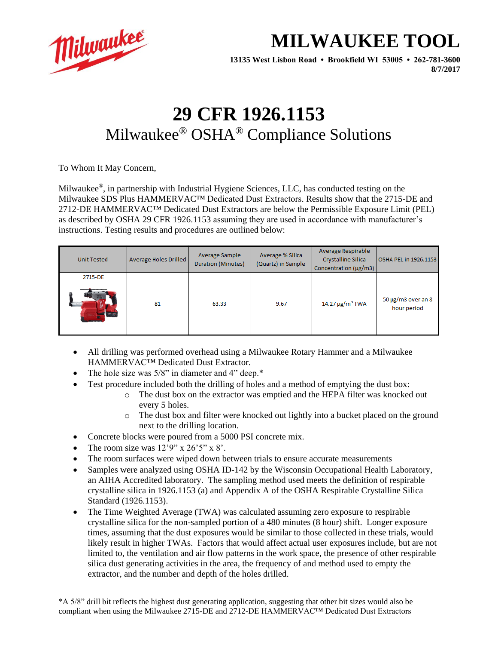

## **MILWAUKEE TOOL**

**13135 West Lisbon Road • Brookfield WI 53005 • 262-781-3600 8/7/2017**

## **29 CFR 1926.1153** Milwaukee® OSHA® Compliance Solutions

To Whom It May Concern,

Milwaukee®, in partnership with Industrial Hygiene Sciences, LLC, has conducted testing on the Milwaukee SDS Plus HAMMERVAC™ Dedicated Dust Extractors. Results show that the 2715-DE and 2712-DE HAMMERVAC™ Dedicated Dust Extractors are below the Permissible Exposure Limit (PEL) as described by OSHA 29 CFR 1926.1153 assuming they are used in accordance with manufacturer's instructions. Testing results and procedures are outlined below:

| <b>Unit Tested</b> | Average Holes Drilled | Average Sample<br>Duration (Minutes) | Average % Silica<br>(Quartz) in Sample | Average Respirable<br>Crystalline Silica<br>Concentration (µg/m3) | OSHA PEL in 1926.1153                  |
|--------------------|-----------------------|--------------------------------------|----------------------------------------|-------------------------------------------------------------------|----------------------------------------|
| 2715-DE            | 81                    | 63.33                                | 9.67                                   | 14.27 μg/m <sup>3</sup> TWA                                       | $50 \mu g/m3$ over an 8<br>hour period |

- All drilling was performed overhead using a Milwaukee Rotary Hammer and a Milwaukee HAMMERVAC™ Dedicated Dust Extractor.
- The hole size was  $5/8$ " in diameter and 4" deep. $*$
- Test procedure included both the drilling of holes and a method of emptying the dust box:
	- o The dust box on the extractor was emptied and the HEPA filter was knocked out every 5 holes.
	- o The dust box and filter were knocked out lightly into a bucket placed on the ground next to the drilling location.
- Concrete blocks were poured from a 5000 PSI concrete mix.
- The room size was  $12'9''$  x  $26'5''$  x  $8'$ .
- The room surfaces were wiped down between trials to ensure accurate measurements
- Samples were analyzed using OSHA ID-142 by the Wisconsin Occupational Health Laboratory, an AIHA Accredited laboratory. The sampling method used meets the definition of respirable crystalline silica in 1926.1153 (a) and Appendix A of the OSHA Respirable Crystalline Silica Standard (1926.1153).
- The Time Weighted Average (TWA) was calculated assuming zero exposure to respirable crystalline silica for the non-sampled portion of a 480 minutes (8 hour) shift. Longer exposure times, assuming that the dust exposures would be similar to those collected in these trials, would likely result in higher TWAs. Factors that would affect actual user exposures include, but are not limited to, the ventilation and air flow patterns in the work space, the presence of other respirable silica dust generating activities in the area, the frequency of and method used to empty the extractor, and the number and depth of the holes drilled.